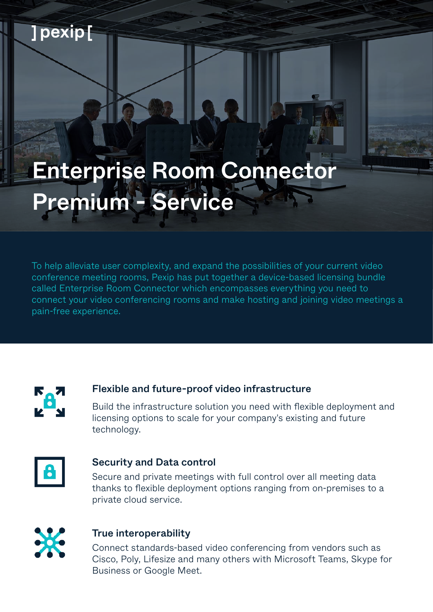# Enterprise Room Connector Premium - Service

To help alleviate user complexity, and expand the possibilities of your current video conference meeting rooms, Pexip has put together a device-based licensing bundle called Enterprise Room Connector which encompasses everything you need to connect your video conferencing rooms and make hosting and joining video meetings a pain-free experience.



] pexip [

#### Flexible and future-proof video infrastructure

Build the infrastructure solution you need with flexible deployment and licensing options to scale for your company's existing and future technology.



#### Security and Data control

Secure and private meetings with full control over all meeting data thanks to flexible deployment options ranging from on-premises to a private cloud service.



#### True interoperability

Connect standards-based video conferencing from vendors such as Cisco, Poly, Lifesize and many others with Microsoft Teams, Skype for Business or Google Meet.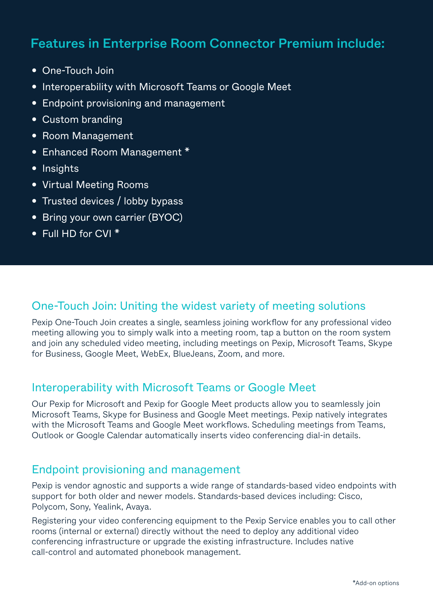# Features in Enterprise Room Connector Premium include:

- One-Touch Join
- Interoperability with Microsoft Teams or Google Meet
- Endpoint provisioning and management
- Custom branding
- Room Management
- Enhanced Room Management \*
- Insights
- Virtual Meeting Rooms
- Trusted devices / lobby bypass
- Bring your own carrier (BYOC)
- Full HD for CVI \*

#### One-Touch Join: Uniting the widest variety of meeting solutions

Pexip One-Touch Join creates a single, seamless joining workflow for any professional video meeting allowing you to simply walk into a meeting room, tap a button on the room system and join any scheduled video meeting, including meetings on Pexip, Microsoft Teams, Skype for Business, Google Meet, WebEx, BlueJeans, Zoom, and more.

### Interoperability with Microsoft Teams or Google Meet

Our Pexip for Microsoft and Pexip for Google Meet products allow you to seamlessly join Microsoft Teams, Skype for Business and Google Meet meetings. Pexip natively integrates with the Microsoft Teams and Google Meet workflows. Scheduling meetings from Teams, Outlook or Google Calendar automatically inserts video conferencing dial-in details.

#### Endpoint provisioning and management

Pexip is vendor agnostic and supports a wide range of standards-based video endpoints with support for both older and newer models. Standards-based devices including: Cisco, Polycom, Sony, Yealink, Avaya.

Registering your video conferencing equipment to the Pexip Service enables you to call other rooms (internal or external) directly without the need to deploy any additional video conferencing infrastructure or upgrade the existing infrastructure. Includes native call-control and automated phonebook management.